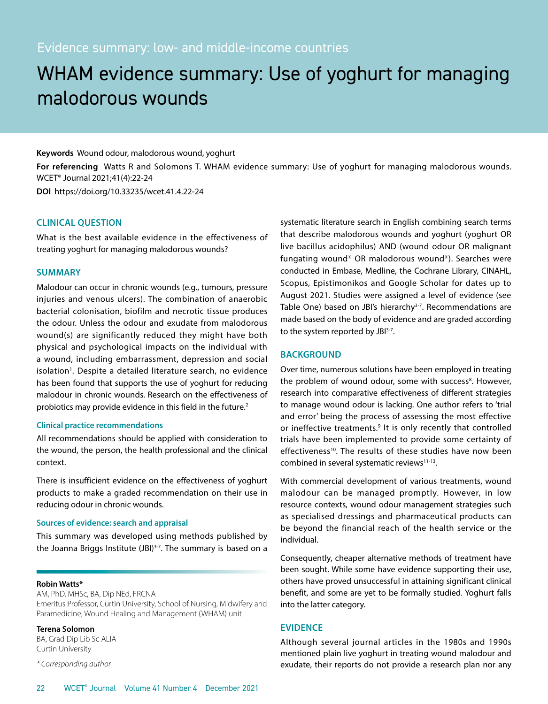# WHAM evidence summary: Use of yoghurt for managing malodorous wounds

# **Keywords** Wound odour, malodorous wound, yoghurt

**For referencing** Watts R and Solomons T. WHAM evidence summary: Use of yoghurt for managing malodorous wounds. WCET® Journal 2021;41(4):22-24

**DOI** https://doi.org/10.33235/wcet.41.4.22-24

# **CLINICAL QUESTION**

What is the best available evidence in the effectiveness of treating yoghurt for managing malodorous wounds?

# **SUMMARY**

Malodour can occur in chronic wounds (e.g., tumours, pressure injuries and venous ulcers). The combination of anaerobic bacterial colonisation, biofilm and necrotic tissue produces the odour. Unless the odour and exudate from malodorous wound(s) are significantly reduced they might have both physical and psychological impacts on the individual with a wound, including embarrassment, depression and social isolation<sup>1</sup>. Despite a detailed literature search, no evidence has been found that supports the use of yoghurt for reducing malodour in chronic wounds. Research on the effectiveness of probiotics may provide evidence in this field in the future.<sup>2</sup>

# **Clinical practice recommendations**

All recommendations should be applied with consideration to the wound, the person, the health professional and the clinical context.

There is insufficient evidence on the effectiveness of yoghurt products to make a graded recommendation on their use in reducing odour in chronic wounds.

#### **Sources of evidence: search and appraisal**

This summary was developed using methods published by the Joanna Briggs Institute  $(JBI)^{3-7}$ . The summary is based on a

#### **Robin Watts\***

AM, PhD, MHSc, BA, Dip NEd, FRCNA Emeritus Professor, Curtin University, School of Nursing, Midwifery and Paramedicine, Wound Healing and Management (WHAM) unit

**Terena Solomon**

BA, Grad Dip Lib Sc ALIA Curtin University

*\* Corresponding author* 

systematic literature search in English combining search terms that describe malodorous wounds and yoghurt (yoghurt OR live bacillus acidophilus) AND (wound odour OR malignant fungating wound\* OR malodorous wound\*). Searches were conducted in Embase, Medline, the Cochrane Library, CINAHL, Scopus, Epistimonikos and Google Scholar for dates up to August 2021. Studies were assigned a level of evidence (see Table One) based on JBI's hierarchy<sup>3-7</sup>. Recommendations are made based on the body of evidence and are graded according to the system reported by JBI<sup>3-7</sup>.

# **BACKGROUND**

Over time, numerous solutions have been employed in treating the problem of wound odour, some with success<sup>8</sup>. However, research into comparative effectiveness of different strategies to manage wound odour is lacking. One author refers to 'trial and error' being the process of assessing the most effective or ineffective treatments.<sup>9</sup> It is only recently that controlled trials have been implemented to provide some certainty of effectiveness<sup>10</sup>. The results of these studies have now been combined in several systematic reviews<sup>11-13</sup>.

With commercial development of various treatments, wound malodour can be managed promptly. However, in low resource contexts, wound odour management strategies such as specialised dressings and pharmaceutical products can be beyond the financial reach of the health service or the individual.

Consequently, cheaper alternative methods of treatment have been sought. While some have evidence supporting their use, others have proved unsuccessful in attaining significant clinical benefit, and some are yet to be formally studied. Yoghurt falls into the latter category.

# **EVIDENCE**

Although several journal articles in the 1980s and 1990s mentioned plain live yoghurt in treating wound malodour and exudate, their reports do not provide a research plan nor any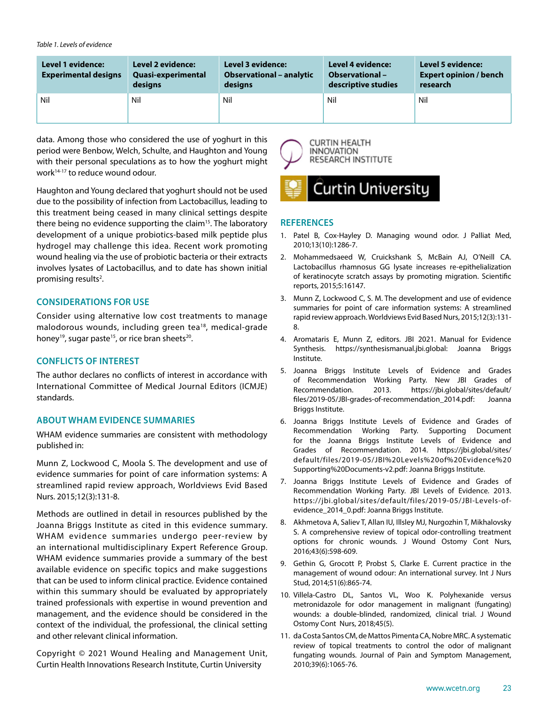#### *Table 1. Levels of evidence*

| <b>Level 1 evidence:</b><br><b>Experimental designs</b> | Level 2 evidence:<br><b>Quasi-experimental</b><br>designs | <b>Level 3 evidence:</b><br><b>Observational - analytic</b><br>designs | <b>Level 4 evidence:</b><br><b>Observational -</b><br>descriptive studies | <b>Level 5 evidence:</b><br><b>Expert opinion / bench</b><br>research |
|---------------------------------------------------------|-----------------------------------------------------------|------------------------------------------------------------------------|---------------------------------------------------------------------------|-----------------------------------------------------------------------|
| Nil                                                     | Nil                                                       | Nil                                                                    | Nil                                                                       | Nil                                                                   |

data. Among those who considered the use of yoghurt in this period were Benbow, Welch, Schulte, and Haughton and Young with their personal speculations as to how the yoghurt might work<sup>14-17</sup> to reduce wound odour.

Haughton and Young declared that yoghurt should not be used due to the possibility of infection from Lactobacillus, leading to this treatment being ceased in many clinical settings despite there being no evidence supporting the claim<sup>15</sup>. The laboratory development of a unique probiotics-based milk peptide plus hydrogel may challenge this idea. Recent work promoting wound healing via the use of probiotic bacteria or their extracts involves lysates of Lactobacillus, and to date has shown initial promising results<sup>2</sup>.

# **CONSIDERATIONS FOR USE**

Consider using alternative low cost treatments to manage malodorous wounds, including green tea18, medical-grade honey<sup>19</sup>, sugar paste<sup>15</sup>, or rice bran sheets<sup>20</sup>.

## **CONFLICTS OF INTEREST**

The author declares no conflicts of interest in accordance with International Committee of Medical Journal Editors (ICMJE) standards.

# **ABOUT WHAM EVIDENCE SUMMARIES**

WHAM evidence summaries are consistent with methodology published in:

Munn Z, Lockwood C, Moola S. The development and use of evidence summaries for point of care information systems: A streamlined rapid review approach, Worldviews Evid Based Nurs. 2015;12(3):131-8.

Methods are outlined in detail in resources published by the Joanna Briggs Institute as cited in this evidence summary. WHAM evidence summaries undergo peer-review by an international multidisciplinary Expert Reference Group. WHAM evidence summaries provide a summary of the best available evidence on specific topics and make suggestions that can be used to inform clinical practice. Evidence contained within this summary should be evaluated by appropriately trained professionals with expertise in wound prevention and management, and the evidence should be considered in the context of the individual, the professional, the clinical setting and other relevant clinical information.

Copyright © 2021 Wound Healing and Management Unit, Curtin Health Innovations Research Institute, Curtin University





## **REFERENCES**

- 1. Patel B, Cox-Hayley D. Managing wound odor. J Palliat Med, 2010;13(10):1286-7.
- 2. Mohammedsaeed W, Cruickshank S, McBain AJ, O'Neill CA. Lactobacillus rhamnosus GG lysate increases re-epithelialization of keratinocyte scratch assays by promoting migration. Scientific reports, 2015;5:16147.
- 3. Munn Z, Lockwood C, S. M. The development and use of evidence summaries for point of care information systems: A streamlined rapid review approach. Worldviews Evid Based Nurs, 2015;12(3):131- 8.
- 4. Aromataris E, Munn Z, editors. JBI 2021. Manual for Evidence Synthesis. https://synthesismanual.jbi.global: Joanna Briggs Institute.
- 5. Joanna Briggs Institute Levels of Evidence and Grades of Recommendation Working Party. New JBI Grades of Recommendation. 2013. https://jbi.global/sites/default/ files/2019-05/JBI-grades-of-recommendation\_2014.pdf: Joanna Briggs Institute.
- 6. Joanna Briggs Institute Levels of Evidence and Grades of Recommendation Working Party. Supporting Document for the Joanna Briggs Institute Levels of Evidence and Grades of Recommendation. 2014. https://jbi.global/sites/ default/files/2019-05/JBI%20Levels%20of%20Evidence%20 Supporting%20Documents-v2.pdf: Joanna Briggs Institute.
- 7. Joanna Briggs Institute Levels of Evidence and Grades of Recommendation Working Party. JBI Levels of Evidence. 2013. https://jbi.global/sites/default/files/2019-05/JBI-Levels-ofevidence\_2014\_0.pdf: Joanna Briggs Institute.
- 8. Akhmetova A, Saliev T, Allan IU, Illsley MJ, Nurgozhin T, Mikhalovsky S. A comprehensive review of topical odor-controlling treatment options for chronic wounds. J Wound Ostomy Cont Nurs, 2016;43(6):598-609.
- 9. Gethin G, Grocott P, Probst S, Clarke E. Current practice in the management of wound odour: An international survey. Int J Nurs Stud, 2014;51(6):865-74.
- 10. Villela-Castro DL, Santos VL, Woo K. Polyhexanide versus metronidazole for odor management in malignant (fungating) wounds: a double-blinded, randomized, clinical trial. J Wound Ostomy Cont Nurs, 2018;45(5).
- 11. da Costa Santos CM, de Mattos Pimenta CA, Nobre MRC. A systematic review of topical treatments to control the odor of malignant fungating wounds. Journal of Pain and Symptom Management, 2010;39(6):1065-76.